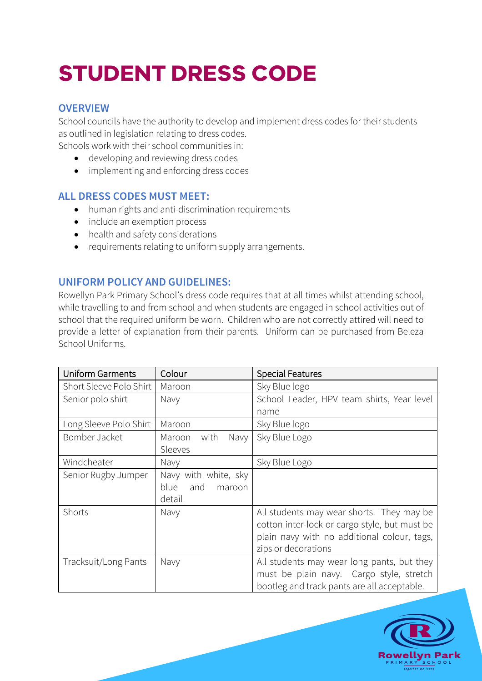# **STUDENT DRESS CODE**

## **OVERVIEW**

School councils have the authority to develop and implement dress codes for their students as outlined in legislation relating to dress codes.

Schools work with their school communities in:

- developing and reviewing dress codes
- implementing and enforcing dress codes

## **ALL DRESS CODES MUST MEET:**

- human rights and anti-discrimination requirements
- include an exemption process
- health and safety considerations
- requirements relating to uniform supply arrangements.

## **UNIFORM POLICY AND GUIDELINES:**

Rowellyn Park Primary School's dress code requires that at all times whilst attending school, while travelling to and from school and when students are engaged in school activities out of school that the required uniform be worn. Children who are not correctly attired will need to provide a letter of explanation from their parents. Uniform can be purchased from Beleza School Uniforms.

| <b>Uniform Garments</b> | Colour                 | <b>Special Features</b>                       |
|-------------------------|------------------------|-----------------------------------------------|
| Short Sleeve Polo Shirt | Maroon                 | Sky Blue logo                                 |
| Senior polo shirt       | Navy                   | School Leader, HPV team shirts, Year level    |
|                         |                        | name                                          |
| Long Sleeve Polo Shirt  | Maroon                 | Sky Blue logo                                 |
| Bomber Jacket           | Maroon<br>with<br>Navy | Sky Blue Logo                                 |
|                         | Sleeves                |                                               |
| Windcheater             | Navy                   | Sky Blue Logo                                 |
| Senior Rugby Jumper     | Navy with white, sky   |                                               |
|                         | blue<br>and<br>maroon  |                                               |
|                         | detail                 |                                               |
| Shorts                  | Navy                   | All students may wear shorts. They may be     |
|                         |                        | cotton inter-lock or cargo style, but must be |
|                         |                        | plain navy with no additional colour, tags,   |
|                         |                        | zips or decorations                           |
| Tracksuit/Long Pants    | Navy                   | All students may wear long pants, but they    |
|                         |                        | must be plain navy. Cargo style, stretch      |
|                         |                        | bootleg and track pants are all acceptable.   |

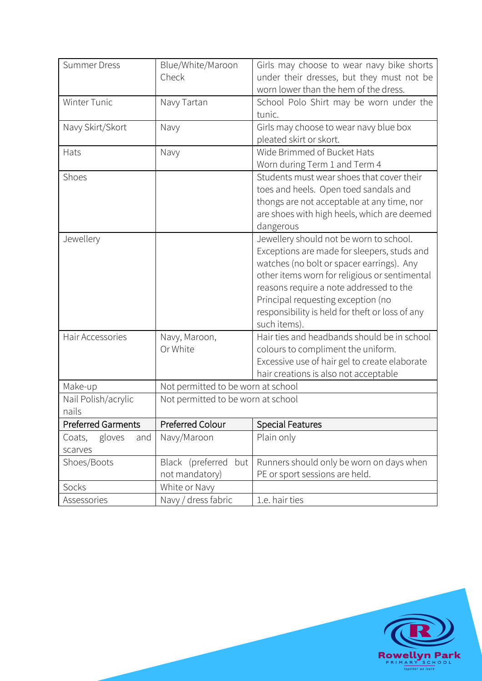| <b>Summer Dress</b>       | Blue/White/Maroon                  | Girls may choose to wear navy bike shorts       |
|---------------------------|------------------------------------|-------------------------------------------------|
|                           | Check                              | under their dresses, but they must not be       |
|                           |                                    | worn lower than the hem of the dress.           |
| Winter Tunic              | Navy Tartan                        | School Polo Shirt may be worn under the         |
|                           |                                    | tunic.                                          |
| Navy Skirt/Skort          | Navy                               | Girls may choose to wear navy blue box          |
|                           |                                    | pleated skirt or skort.                         |
|                           |                                    | Wide Brimmed of Bucket Hats                     |
| Hats                      | Navy                               |                                                 |
|                           |                                    | Worn during Term 1 and Term 4                   |
| Shoes                     |                                    | Students must wear shoes that cover their       |
|                           |                                    | toes and heels. Open toed sandals and           |
|                           |                                    | thongs are not acceptable at any time, nor      |
|                           |                                    | are shoes with high heels, which are deemed     |
|                           |                                    | dangerous                                       |
| Jewellery                 |                                    | Jewellery should not be worn to school.         |
|                           |                                    | Exceptions are made for sleepers, studs and     |
|                           |                                    |                                                 |
|                           |                                    | watches (no bolt or spacer earrings). Any       |
|                           |                                    | other items worn for religious or sentimental   |
|                           |                                    | reasons require a note addressed to the         |
|                           |                                    | Principal requesting exception (no              |
|                           |                                    | responsibility is held for theft or loss of any |
|                           |                                    | such items).                                    |
| Hair Accessories          | Navy, Maroon,                      | Hair ties and headbands should be in school     |
|                           | Or White                           | colours to compliment the uniform.              |
|                           |                                    | Excessive use of hair gel to create elaborate   |
|                           |                                    | hair creations is also not acceptable           |
|                           |                                    |                                                 |
| Make-up                   | Not permitted to be worn at school |                                                 |
| Nail Polish/acrylic       | Not permitted to be worn at school |                                                 |
| nails                     |                                    |                                                 |
| <b>Preferred Garments</b> | Preferred Colour                   | <b>Special Features</b>                         |
| gloves<br>Coats,<br>and   | Navy/Maroon                        | Plain only                                      |
| scarves                   |                                    |                                                 |
| Shoes/Boots               | Black (preferred<br>but            | Runners should only be worn on days when        |
|                           | not mandatory)                     | PE or sport sessions are held.                  |
| Socks                     | White or Navy                      |                                                 |
|                           |                                    |                                                 |
| Assessories               | Navy / dress fabric                | 1.e. hair ties                                  |

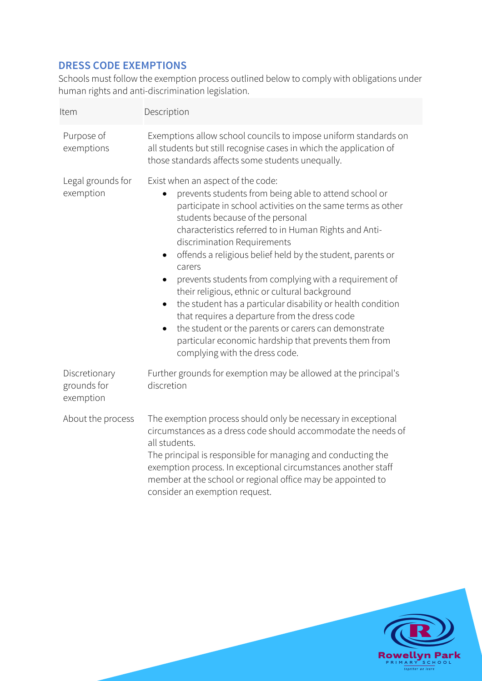# **DRESS CODE EXEMPTIONS**

Schools must follow the exemption process outlined below to comply with obligations under human rights and anti-discrimination legislation.

| Description                                                                                                                                                                                                                                                                                                                                                                                                                                                                                                                                                                                                                                                                                                                                                                                     |  |
|-------------------------------------------------------------------------------------------------------------------------------------------------------------------------------------------------------------------------------------------------------------------------------------------------------------------------------------------------------------------------------------------------------------------------------------------------------------------------------------------------------------------------------------------------------------------------------------------------------------------------------------------------------------------------------------------------------------------------------------------------------------------------------------------------|--|
| Exemptions allow school councils to impose uniform standards on<br>all students but still recognise cases in which the application of<br>those standards affects some students unequally.                                                                                                                                                                                                                                                                                                                                                                                                                                                                                                                                                                                                       |  |
| Exist when an aspect of the code:<br>prevents students from being able to attend school or<br>participate in school activities on the same terms as other<br>students because of the personal<br>characteristics referred to in Human Rights and Anti-<br>discrimination Requirements<br>offends a religious belief held by the student, parents or<br>$\bullet$<br>carers<br>prevents students from complying with a requirement of<br>$\bullet$<br>their religious, ethnic or cultural background<br>the student has a particular disability or health condition<br>$\bullet$<br>that requires a departure from the dress code<br>the student or the parents or carers can demonstrate<br>$\bullet$<br>particular economic hardship that prevents them from<br>complying with the dress code. |  |
| Further grounds for exemption may be allowed at the principal's<br>discretion                                                                                                                                                                                                                                                                                                                                                                                                                                                                                                                                                                                                                                                                                                                   |  |
| The exemption process should only be necessary in exceptional<br>circumstances as a dress code should accommodate the needs of<br>all students.<br>The principal is responsible for managing and conducting the<br>exemption process. In exceptional circumstances another staff<br>member at the school or regional office may be appointed to<br>consider an exemption request.                                                                                                                                                                                                                                                                                                                                                                                                               |  |
|                                                                                                                                                                                                                                                                                                                                                                                                                                                                                                                                                                                                                                                                                                                                                                                                 |  |

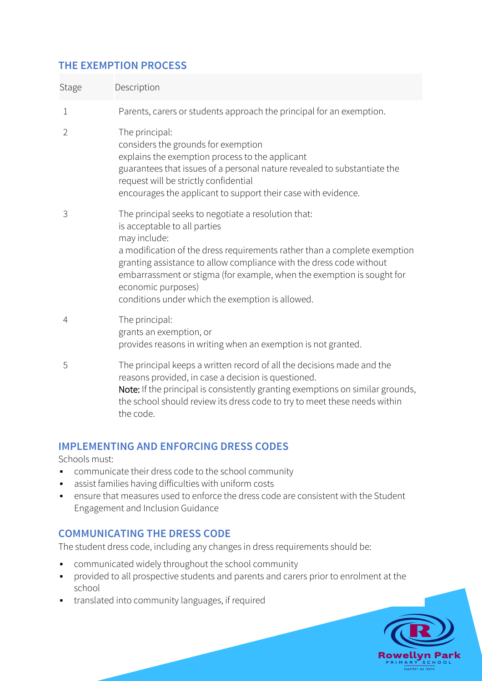# **THE EXEMPTION PROCESS**

| Stage          | Description                                                                                                                                                                                                                                                                                                                                                                                                 |
|----------------|-------------------------------------------------------------------------------------------------------------------------------------------------------------------------------------------------------------------------------------------------------------------------------------------------------------------------------------------------------------------------------------------------------------|
| 1              | Parents, carers or students approach the principal for an exemption.                                                                                                                                                                                                                                                                                                                                        |
| $\overline{2}$ | The principal:<br>considers the grounds for exemption<br>explains the exemption process to the applicant<br>guarantees that issues of a personal nature revealed to substantiate the<br>request will be strictly confidential<br>encourages the applicant to support their case with evidence.                                                                                                              |
| 3              | The principal seeks to negotiate a resolution that:<br>is acceptable to all parties<br>may include:<br>a modification of the dress requirements rather than a complete exemption<br>granting assistance to allow compliance with the dress code without<br>embarrassment or stigma (for example, when the exemption is sought for<br>economic purposes)<br>conditions under which the exemption is allowed. |
| 4              | The principal:<br>grants an exemption, or<br>provides reasons in writing when an exemption is not granted.                                                                                                                                                                                                                                                                                                  |
| 5              | The principal keeps a written record of all the decisions made and the<br>reasons provided, in case a decision is questioned.<br>Note: If the principal is consistently granting exemptions on similar grounds,<br>the school should review its dress code to try to meet these needs within<br>the code.                                                                                                   |

## **IMPLEMENTING AND ENFORCING DRESS CODES**

Schools must:

- § communicate their dress code to the school community
- assist families having difficulties with uniform costs
- ensure that measures used to enforce the dress code are consistent with the Student Engagement and Inclusion Guidance

# **COMMUNICATING THE DRESS CODE**

The student dress code, including any changes in dress requirements should be:

- § communicated widely throughout the school community
- § provided to all prospective students and parents and carers prior to enrolment at the school
- § translated into community languages, if required

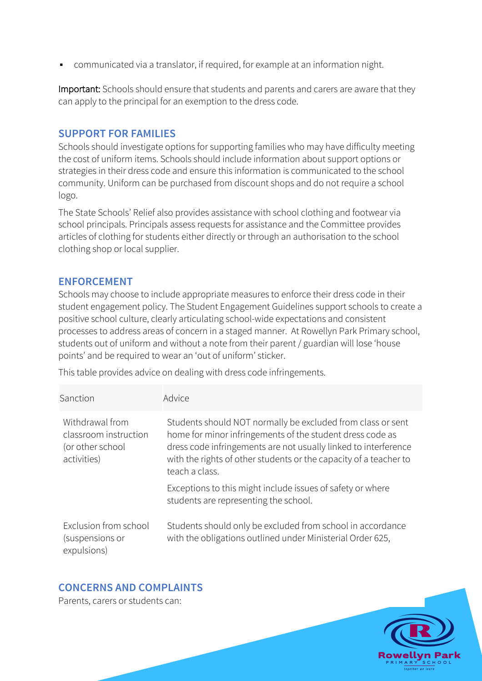■ communicated via a translator, if required, for example at an information night.

Important: Schools should ensure that students and parents and carers are aware that they can apply to the principal for an exemption to the dress code.

#### **SUPPORT FOR FAMILIES**

Schools should investigate options for supporting families who may have difficulty meeting the cost of uniform items. Schools should include information about support options or strategies in their dress code and ensure this information is communicated to the school community. Uniform can be purchased from discount shops and do not require a school logo.

The State Schools' Relief also provides assistance with school clothing and footwear via school principals. Principals assess requests for assistance and the Committee provides articles of clothing for students either directly or through an authorisation to the school clothing shop or local supplier.

#### **ENFORCEMENT**

Schools may choose to include appropriate measures to enforce their dress code in their student engagement policy. The Student Engagement Guidelines support schools to create a positive school culture, clearly articulating school-wide expectations and consistent processes to address areas of concern in a staged manner. At Rowellyn Park Primary school, students out of uniform and without a note from their parent / guardian will lose 'house points' and be required to wear an 'out of uniform' sticker.

This table provides advice on dealing with dress code infringements.

| Sanction                                                                    | Advice                                                                                                                                                                                                                                                                             |
|-----------------------------------------------------------------------------|------------------------------------------------------------------------------------------------------------------------------------------------------------------------------------------------------------------------------------------------------------------------------------|
| Withdrawal from<br>classroom instruction<br>(or other school<br>activities) | Students should NOT normally be excluded from class or sent<br>home for minor infringements of the student dress code as<br>dress code infringements are not usually linked to interference<br>with the rights of other students or the capacity of a teacher to<br>teach a class. |
|                                                                             | Exceptions to this might include issues of safety or where<br>students are representing the school.                                                                                                                                                                                |
| Exclusion from school<br>(suspensions or<br>expulsions)                     | Students should only be excluded from school in accordance<br>with the obligations outlined under Ministerial Order 625,                                                                                                                                                           |

## **CONCERNS AND COMPLAINTS**

Parents, carers or students can: